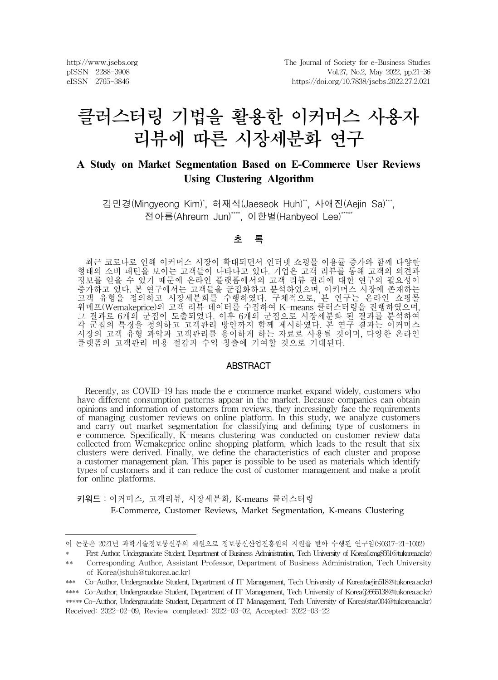http://www.jsebs.org pISSN 2288-3908 eISSN 2765-3846

# 클러스터링 기법을 활용한 이커머스 사용자 리뷰에 따른 시장세분화 연구

# **A Study on Market Segmentation Based on E-Commerce User Reviews Using Clustering Algorithm**

김민경(Mingyeong Kim)\* , 허재석(Jaeseok Huh)\*\* , 사애진(Aejin Sa)\*\*\*, 전아름(Ahreum Jun)\*\*\*\*, 이한별(Hanbyeol Lee)\*\*\*\*

#### 초 록

최근 코로나로 인해 이커머스 시장이 확대되면서 인터넷 쇼핑몰 이용률 증가와 함께 다양한 형태의 소비 패턴을 보이는 고객들이 나타나고 있다. 기업은 고객 리뷰를 통해 고객의 의견과 정보를 얻을 수 있기 때문에 온라인 플랫폼에서의 고객 리뷰 관리에 대한 연구의 필요성이 증가하고 있다. 본 연구에서는 고객들을 군집화하고 분석하였으며, 이커머스 시장에 존재하는 고객 유형을 정의하고 시장세분화를 수행하였다. 구체적으로, 본 연구는 온라인 쇼핑몰 위메프(Wemakeprice)의 고객 리뷰 데이터를 수집하여 K-means 클러스터링을 진행하였으며, 그 결과로 6개의 군집이 도출되었다. 이후 6개의 군집으로 시장세분화 된 결과를 분석하여 각 군집의 특징을 정의하고 고객관리 방안까지 함께 제시하였다. 본 연구 결과는 이커머스 시장의 고객 유형 파악과 고객관리를 용이하게 하는 자료로 사용될 것이며, 다양한 온라인 플랫폼의 고객관리 비용 절감과 수익 창출에 기여할 것으로 기대된다.

#### ABSTRACT

Recently, as COVID-19 has made the e-commerce market expand widely, customers who have different consumption patterns appear in the market. Because companies can obtain opinions and information of customers from reviews, they increasingly face the requirements of managing customer reviews on online platform. In this study, we analyze customers and carry out market segmentation for classifying and defining type of customers in e-commerce. Specifically, K-means clustering was conducted on customer review data collected from Wemakeprice online shopping platform, which leads to the result that six clusters were derived. Finally, we define the characteristics of each cluster and propose a customer management plan. This paper is possible to be used as materials which identify types of customers and it can reduce the cost of customer management and make a profit for online platforms.

키워드:이커머스, 고객리뷰, 시장세분화, K-means 클러스터링

E-Commerce, Customer Reviews, Market Segmentation, K-means Clustering

이 논문은 2021년 과학기술정보통신부의 재원으로 정보통신산업진흥원의 지원을 받아 수행된 연구임(S0317-21-1002)

<sup>\*</sup> First Author, Undergraudate Student, Department of Business Administration, Tech University of Korea(kmg8561@tukorea.ac.kr) \*\* Corresponding Author, Assistant Professor, Department of Business Administration, Tech University

of Korea(jshuh@tukorea.ac.kr)

<sup>\*\*\*</sup> Co-Author, Undergraudate Student, Department of IT Management, Tech University of Korea(aejin518@tukorea.ac.kr) \*\*\*\* Co-Author, Undergraudate Student, Department of IT Management, Tech University of Korea(j2665138@tukorea.ac.kr) \*\*\*\*\* Co-Author, Undergraudate Student, Department of IT Management, Tech University of Korea(star004@tukorea.ac.kr) Received: 2022-02-09, Review completed: 2022-03-02, Accepted: 2022-03-22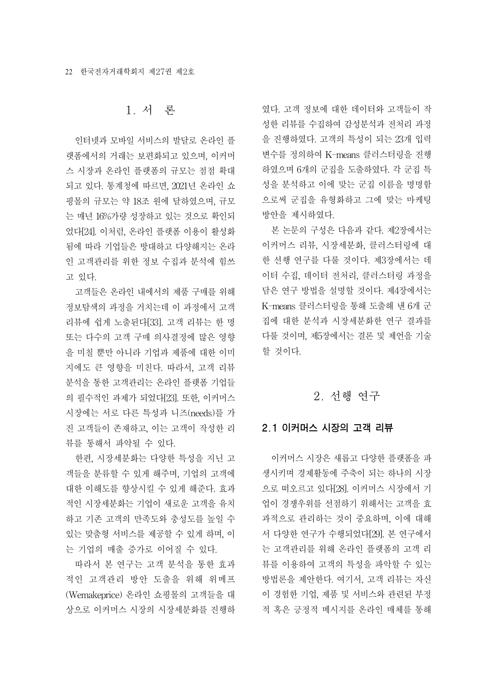# 1. 서 론

인터넷과 모바일 서비스의 발달로 온라인 플 랫폼에서의 거래는 보편화되고 있으며, 이커머 스 시장과 온라인 플랫폼의 규모는 점점 확대 되고 있다. 통계청에 따르면, 2021년 온라인 쇼 핑몰의 규모는 약 18조 원에 달하였으며, 규모 는 매년 16%가량 성장하고 있는 것으로 확인되 었다[24]. 이처럼, 온라인 플랫폼 이용이 활성화 됨에 따라 기업들은 방대하고 다양해지는 온라 인 고객관리를 위한 정보 수집과 분석에 힘쓰 고 있다.

고객들은 온라인 내에서의 제품 구매를 위해 정보탐색의 과정을 거치는데 이 과정에서 고객 리뷰에 쉽게 노출된다[33]. 고객 리뷰는 한 명 또는 다수의 고객 구매 의사결정에 많은 영향 을 미칠 뿐만 아니라 기업과 제품에 대한 이미 지에도 큰 영향을 미친다. 따라서, 고객 리뷰 분석을 통한 고객관리는 온라인 플랫폼 기업들 의 필수적인 과제가 되었다[23]. 또한, 이커머스 시장에는 서로 다른 특성과 니즈(needs)를 가 진 고객들이 존재하고, 이는 고객이 작성한 리 뷰를 통해서 파악될 수 있다.

한편, 시장세분화는 다양한 특성을 지닌 고 객들을 분류할 수 있게 해주며, 기업의 고객에 대한 이해도를 향상시킬 수 있게 해준다. 효과 적인 시장세분화는 기업이 새로운 고객을 유치 하고 기존 고객의 만족도와 충성도를 높일 수 있는 맞춤형 서비스를 제공할 수 있게 하며, 이 는 기업의 매출 증가로 이어질 수 있다.

따라서 본 연구는 고객 분석을 통한 효과 적인 고객관리 방안 도출을 위해 위메프 (Wemakeprice) 온라인 쇼핑몰의 고객들을 대 상으로 이커머스 시장의 시장세분화를 진행하

였다. 고객 정보에 대한 데이터와 고객들이 작 성한 리뷰를 수집하여 감성분석과 전처리 과정 을 진행하였다. 고객의 특성이 되는 23개 입력 변수를 정의하여 K-means 클러스터링을 진행 하였으며 6개의 군집을 도출하였다. 각 군집 특 성을 분석하고 이에 맞는 군집 이름을 명명함 으로써 군집을 유형화하고 그에 맞는 마케팅 방안을 제시하였다.

본 논문의 구성은 다음과 같다. 제2장에서는 이커머스 리뷰, 시장세분화, 클러스터링에 대 한 선행 연구를 다룰 것이다. 제3장에서는 데 이터 수집, 데이터 전처리, 클러스터링 과정을 담은 연구 방법을 설명할 것이다. 제4장에서는 K-means 클러스터링을 통해 도출해 낸 6개 군 집에 대한 분석과 시장세분화한 연구 결과를 다룰 것이며, 제5장에서는 결론 및 제언을 기술 할 것이다.

### 2. 선행 연구

#### 2.1 이커머스 시장의 고객 리뷰

이커머스 시장은 새롭고 다양한 플랫폼을 파 생시키며 경제활동에 주축이 되는 하나의 시장 으로 떠오르고 있다[28]. 이커머스 시장에서 기 업이 경쟁우위를 선점하기 위해서는 고객을 효 과적으로 관리하는 것이 중요하며, 이에 대해 서 다양한 연구가 수행되었다[29]. 본 연구에서 는 고객관리를 위해 온라인 플랫폼의 고객 리 뷰를 이용하여 고객의 특성을 파악할 수 있는 방법론을 제안한다. 여기서, 고객 리뷰는 자신 이 경험한 기업, 제품 및 서비스와 관련된 부정 적 혹은 긍정적 메시지를 온라인 매체를 통해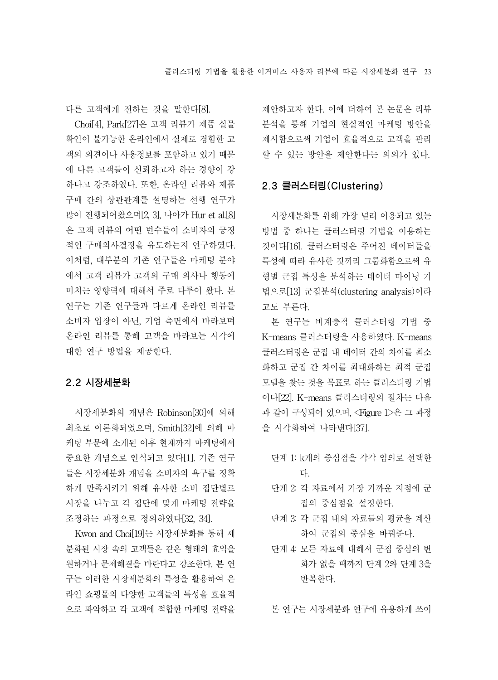다른 고객에게 전하는 것을 말한다[8].

Choi[4], Park[27]은 고객 리뷰가 제품 실물 확인이 불가능한 온라인에서 실제로 경험한 고 객의 의견이나 사용정보를 포함하고 있기 때문 에 다른 고객들이 신뢰하고자 하는 경향이 강 하다고 강조하였다. 또한, 온라인 리뷰와 제품 구매 간의 상관관계를 설명하는 선행 연구가 많이 진행되어왔으며[2, 3], 나아가 Hur et al.[8] 은 고객 리뷰의 어떤 변수들이 소비자의 긍정 적인 구매의사결정을 유도하는지 연구하였다. 이처럼, 대부분의 기존 연구들은 마케팅 분야 에서 고객 리뷰가 고객의 구매 의사나 행동에 미치는 영향력에 대해서 주로 다루어 왔다. 본 연구는 기존 연구들과 다르게 온라인 리뷰를 소비자 입장이 아닌, 기업 측면에서 바라보며 온라인 리뷰를 통해 고객을 바라보는 시각에 대한 연구 방법을 제공한다.

### 2.2 시장세분화

시장세분화의 개념은 Robinson[30]에 의해 최초로 이론화되었으며, Smith[32]에 의해 마 케팅 부문에 소개된 이후 현재까지 마케팅에서 중요한 개념으로 인식되고 있다[1]. 기존 연구 들은 시장세분화 개념을 소비자의 욕구를 정확 하게 만족시키기 위해 유사한 소비 집단별로 시장을 나누고 각 집단에 맞게 마케팅 전략을 조정하는 과정으로 정의하였다[32, 34].

Kwon and Choi[19]는 시장세분화를 통해 세 분화된 시장 속의 고객들은 같은 형태의 효익을 원하거나 문제해결을 바란다고 강조한다. 본 연 구는 이러한 시장세분화의 특성을 활용하여 온 라인 쇼핑몰의 다양한 고객들의 특성을 효율적 으로 파악하고 각 고객에 적합한 마케팅 전략을 제안하고자 한다. 이에 더하여 본 논문은 리뷰 분석을 통해 기업의 현실적인 마케팅 방안을 제시함으로써 기업이 효율적으로 고객을 관리 할 수 있는 방안을 제안한다는 의의가 있다.

### 2.3 클러스터링(Clustering)

시장세분화를 위해 가장 널리 이용되고 있는 방법 중 하나는 클러스터링 기법을 이용하는 것이다[16]. 클러스터링은 주어진 데이터들을 특성에 따라 유사한 것끼리 그룹화함으로써 유 형별 군집 특성을 분석하는 데이터 마이닝 기 법으로[13] 군집분석(clustering analysis)이라 고도 부른다.

본 연구는 비계층적 클러스터링 기법 중 K-means 클러스터링을 사용하였다. K-means 클러스터링은 군집 내 데이터 간의 차이를 최소 화하고 군집 간 차이를 최대화하는 최적 군집 모델을 찾는 것을 목표로 하는 클러스터링 기법 이다[22]. K-means 클러스터링의 절차는 다음 과 같이 구성되어 있으며, <Figure 1>은 그 과정 을 시각화하여 나타낸다[37].

- 단계 1: k개의 중심점을 각각 임의로 선택한 다.
- 단계 2: 각 자료에서 가장 가까운 지점에 군 집의 중심점을 설정한다.
- 단계 3: 각 군집 내의 자료들의 평균을 계산 하여 군집의 중심을 바꿔준다.
- 단계 4: 모든 자료에 대해서 군집 중심의 변 화가 없을 때까지 단계 2와 단계 3을 반복한다.

본 연구는 시장세분화 연구에 유용하게 쓰이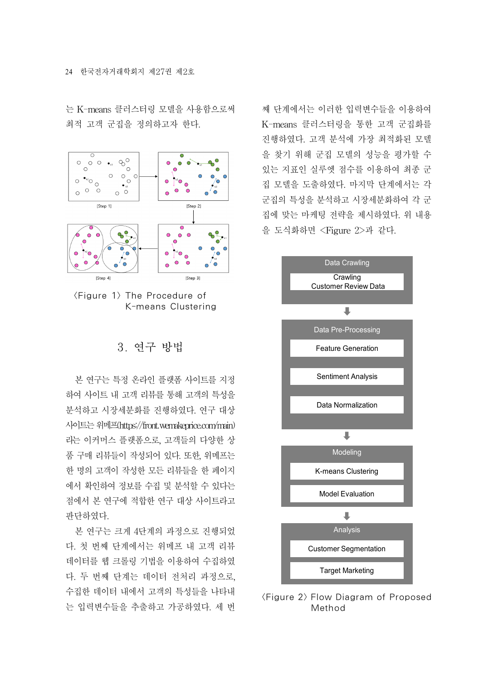는 K-means 클러스터링 모델을 사용함으로써 최적 고객 군집을 정의하고자 한다.





# 3. 연구 방법

본 연구는 특정 온라인 플랫폼 사이트를 지정 하여 사이트 내 고객 리뷰를 통해 고객의 특성을 분석하고 시장세분화를 진행하였다. 연구 대상 사이트는위메프(https://front.wemakeprice.com/main) 라는 이커머스 플랫폼으로, 고객들의 다양한 상 품 구매 리뷰들이 작성되어 있다. 또한, 위메프는 한 명의 고객이 작성한 모든 리뷰들을 한 페이지 에서 확인하여 정보를 수집 및 분석할 수 있다는 점에서 본 연구에 적합한 연구 대상 사이트라고 판단하였다.

본 연구는 크게 4단계의 과정으로 진행되었 다. 첫 번째 단계에서는 위메프 내 고객 리뷰 데이터를 웹 크롤링 기법을 이용하여 수집하였 다. 두 번째 단계는 데이터 전처리 과정으로, 수집한 데이터 내에서 고객의 특성들을 나타내 는 입력변수들을 추출하고 가공하였다. 세 번

째 단계에서는 이러한 입력변수들을 이용하여 K-means 클러스터링을 통한 고객 군집화를 진행하였다. 고객 분석에 가장 최적화된 모델 을 찾기 위해 군집 모델의 성능을 평가할 수 있는 지표인 실루엣 점수를 이용하여 최종 군 집 모델을 도출하였다. 마지막 단계에서는 각 군집의 특성을 분석하고 시장세분화하여 각 군 집에 맞는 마케팅 전략을 제시하였다. 위 내용 을 도식화하면 <Figure 2>과 같다.



<Figure 2> Flow Diagram of Proposed Method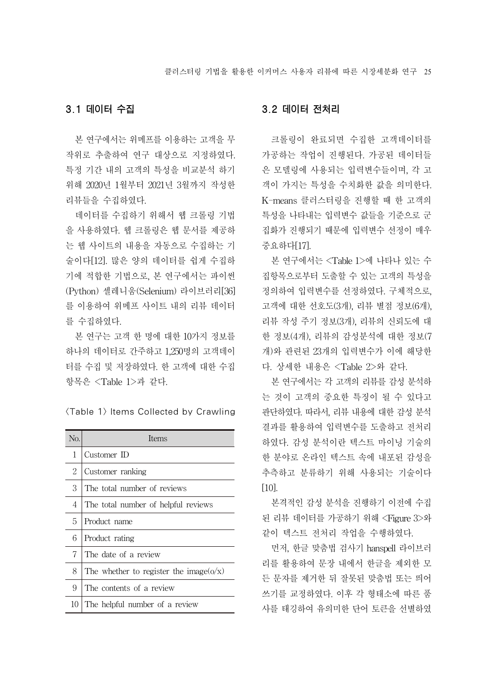## 3.1 데이터 수집

본 연구에서는 위메프를 이용하는 고객을 무 작위로 추출하여 연구 대상으로 지정하였다. 특정 기간 내의 고객의 특성을 비교분석 하기 위해 2020년 1월부터 2021년 3월까지 작성한 리뷰들을 수집하였다.

데이터를 수집하기 위해서 웹 크롤링 기법 을 사용하였다. 웹 크롤링은 웹 문서를 제공하 는 웹 사이트의 내용을 자동으로 수집하는 기 술이다[12]. 많은 양의 데이터를 쉽게 수집하 기에 적합한 기법으로, 본 연구에서는 파이썬 (Python) 셀레니움(Selenium) 라이브러리[36] 를 이용하여 위메프 사이트 내의 리뷰 데이터 를 수집하였다.

본 연구는 고객 한 명에 대한 10가지 정보를 하나의 데이터로 간주하고 1,250명의 고객데이 터를 수집 및 저장하였다. 한 고객에 대한 수집 항목은 <Table 1>과 같다.

<Table 1> Items Collected by Crawling

| N <sub>O</sub> . | Items                                      |
|------------------|--------------------------------------------|
| 1                | Customer ID                                |
| 2                | Customer ranking                           |
| 3                | The total number of reviews                |
| 4                | The total number of helpful reviews        |
| 5.               | Product name                               |
| 6                | Product rating                             |
| 7                | The date of a review                       |
| 8                | The whether to register the image( $o/x$ ) |
| 9                | The contents of a review                   |
| 10               | The helpful number of a review             |

#### 3.2 데이터 전처리

크롤링이 완료되면 수집한 고객데이터를 가공하는 작업이 진행된다. 가공된 데이터들 은 모델링에 사용되는 입력변수들이며, 각 고 객이 가지는 특성을 수치화한 값을 의미한다. K-means 클러스터링을 진행할 때 한 고객의 특성을 나타내는 입력변수 값들을 기준으로 군 집화가 진행되기 때문에 입력변수 선정이 매우 중요하다[17].

본 연구에서는 <Table 1>에 나타나 있는 수 집항목으로부터 도출할 수 있는 고객의 특성을 정의하여 입력변수를 선정하였다. 구체적으로, 고객에 대한 선호도(3개), 리뷰 별점 정보(6개), 리뷰 작성 주기 정보(3개), 리뷰의 신뢰도에 대 한 정보(4개), 리뷰의 감성분석에 대한 정보(7 개)와 관련된 23개의 입력변수가 이에 해당한 다. 상세한 내용은 <Table 2>와 같다.

본 연구에서는 각 고객의 리뷰를 감성 분석하 는 것이 고객의 중요한 특징이 될 수 있다고 판단하였다. 따라서, 리뷰 내용에 대한 감성 분석 결과를 활용하여 입력변수를 도출하고 전처리 하였다. 감성 분석이란 텍스트 마이닝 기술의 한 분야로 온라인 텍스트 속에 내포된 감성을 추측하고 분류하기 위해 사용되는 기술이다 [10].

본격적인 감성 분석을 진행하기 이전에 수집 된 리뷰 데이터를 가공하기 위해 <Figure 3>와 같이 텍스트 전처리 작업을 수행하였다.

먼저, 한글 맞춤법 검사기 hanspell 라이브러 리를 활용하여 문장 내에서 한글을 제외한 모 든 문자를 제거한 뒤 잘못된 맞춤법 또는 띄어 쓰기를 교정하였다. 이후 각 형태소에 따른 품 사를 태깅하여 유의미한 단어 토큰을 선별하였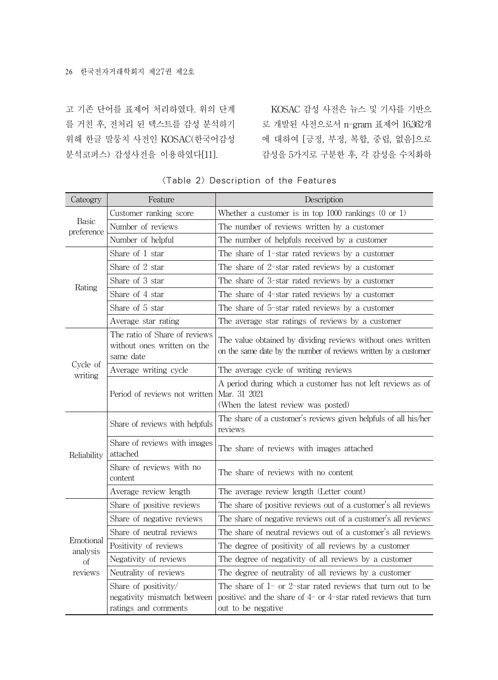고 기존 단어를 표제어 처리하였다. 위의 단계 위해 한글 말뭉치 사전인 KOSAC(한국어감성 분석코퍼스) 감성사전을 이용하였다[11].

를 거친 후, 전처리 된 텍스트를 감성 분석하기 로 개발된 사전으로서 n-gram 표제어 16,362개 KOSAC 감성 사전은 뉴스 및 기사를 기반으 에 대하여 [긍정, 부정, 복합, 중립, 없음]으로 감성을 5가지로 구분한 후, 각 감성을 수치화하

| Cateogry                               | Feature                                                                     | Description                                                                                                                                                    |
|----------------------------------------|-----------------------------------------------------------------------------|----------------------------------------------------------------------------------------------------------------------------------------------------------------|
| <b>Basic</b><br>preference             | Customer ranking score                                                      | Whether a customer is in top $1000$ rankings $(0 \text{ or } 1)$                                                                                               |
|                                        | Number of reviews                                                           | The number of reviews written by a customer                                                                                                                    |
|                                        | Number of helpful                                                           | The number of helpfuls received by a customer                                                                                                                  |
|                                        | Share of 1 star                                                             | The share of 1-star rated reviews by a customer                                                                                                                |
|                                        | Share of 2 star                                                             | The share of 2-star rated reviews by a customer                                                                                                                |
| Rating                                 | Share of 3 star                                                             | The share of 3-star rated reviews by a customer                                                                                                                |
|                                        | Share of 4 star                                                             | The share of 4-star rated reviews by a customer                                                                                                                |
|                                        | Share of 5 star                                                             | The share of 5-star rated reviews by a customer                                                                                                                |
|                                        | Average star rating                                                         | The average star ratings of reviews by a customer                                                                                                              |
| Cycle of<br>writing                    | The ratio of Share of reviews<br>without ones written on the<br>same date   | The value obtained by dividing reviews without ones written<br>on the same date by the number of reviews written by a customer                                 |
|                                        | Average writing cycle                                                       | The average cycle of writing reviews                                                                                                                           |
|                                        | Period of reviews not written                                               | A period during which a customer has not left reviews as of<br>Mar. 31 2021<br>(When the latest review was posted)                                             |
|                                        | Share of reviews with helpfuls                                              | The share of a customer's reviews given helpfuls of all his/her<br>reviews                                                                                     |
| Reliability                            | Share of reviews with images<br>attached                                    | The share of reviews with images attached                                                                                                                      |
|                                        | Share of reviews with no<br>content                                         | The share of reviews with no content                                                                                                                           |
|                                        | Average review length                                                       | The average review length (Letter count)                                                                                                                       |
|                                        | Share of positive reviews                                                   | The share of positive reviews out of a customer's all reviews                                                                                                  |
|                                        | Share of negative reviews                                                   | The share of negative reviews out of a customer's all reviews                                                                                                  |
|                                        | Share of neutral reviews                                                    | The share of neutral reviews out of a customer's all reviews                                                                                                   |
| Emotional<br>analysis<br>of<br>reviews | Positivity of reviews                                                       | The degree of positivity of all reviews by a customer                                                                                                          |
|                                        | Negativity of reviews                                                       | The degree of negativity of all reviews by a customer                                                                                                          |
|                                        | Neutrality of reviews                                                       | The degree of neutrality of all reviews by a customer                                                                                                          |
|                                        | Share of positivity/<br>negativity mismatch between<br>ratings and comments | The share of $1-$ or $2$ -star rated reviews that turn out to be<br>positive; and the share of $4-$ or $4$ -star rated reviews that turn<br>out to be negative |

## <Table 2> Description of the Features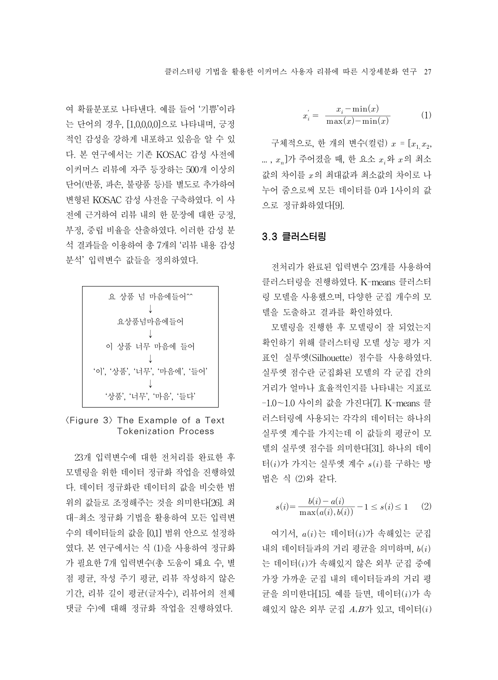여 확률분포로 나타낸다. 예를 들어 '기쁨'이라 는 단어의 경우, [1,0,0,0,0]으로 나타내며, 긍정 적인 감성을 강하게 내포하고 있음을 알 수 있 다. 본 연구에서는 기존 KOSAC 감성 사전에 이커머스 리뷰에 자주 등장하는 500개 이상의 단어(반품, 파손, 불량품 등)를 별도로 추가하여 변형된 KOSAC 감성 사전을 구축하였다. 이 사 전에 근거하여 리뷰 내의 한 문장에 대한 긍정, 부정, 중립 비율을 산출하였다. 이러한 감성 분 석 결과들을 이용하여 총 7개의 '리뷰 내용 감성 분석' 입력변수 값들을 정의하였다.

| 요 상품 넘 마음에들어^^               |
|------------------------------|
|                              |
| 요상품넘마음에들어                    |
|                              |
| 이 상품 너무 마음에 들어               |
|                              |
| '이', '상품', '너무', '마음에', '들어' |
|                              |
| '상품', '너무', '마음', '들다'       |

 $\langle$ Figure 3 $\rangle$  The Example of a Text Tokenization Process

23개 입력변수에 대한 전처리를 완료한 후 모델링을 위한 데이터 정규화 작업을 진행하였 다. 데이터 정규화란 데이터의 값을 비슷한 범 위의 값들로 조정해주는 것을 의미한다[26]. 최 대-최소 정규화 기법을 활용하여 모든 입력변 수의 데이터들의 값을 [0,1] 범위 안으로 설정하 였다. 본 연구에서는 식 (1)을 사용하여 정규화 가 필요한 7개 입력변수(총 도움이 돼요 수, 별 점 평균, 작성 주기 평균, 리뷰 작성하지 않은 기간, 리뷰 길이 평균(글자수), 리뷰어의 전체 댓글 수)에 대해 정규화 작업을 진행하였다.

3자 리부에 따라 쒰장세분화 연구 27  
\n
$$
x_{i}^{'} = \frac{x_{i} - \min(x)}{\max(x) - \min(x)}
$$
\n(1)\n  
\n'로, 한 개의 봨수(컬려)  $x = [x, x_{i}]$ 

구체적으로, 한 개의 변수(컬럼)  $x = [x_1, x_2, x_3]$  $(x, x)$ 가 주어졌을 때, 한 요소  $x, 9$   $x$ 의 최소 값의 차이를 의 최대값과 최소값의 차이로 나 누어 줌으로써 모든 데이터를 0과 1사이의 값 으로 정규화하였다[9].

# 3.3 클러스터링

전처리가 완료된 입력변수 23개를 사용하여 클러스터링을 진행하였다. K-means 클러스터 링 모델을 사용했으며, 다양한 군집 개수의 모 델을 도출하고 결과를 확인하였다.

모델링을 진행한 후 모델링이 잘 되었는지 확인하기 위해 클러스터링 모델 성능 평가 지 표인 실루엣(Silhouette) 점수를 사용하였다. 실루엣 점수란 군집화된 모델의 각 군집 간의 거리가 얼마나 효율적인지를 나타내는 지표로 -1.0~1.0 사이의 값을 가진다[7]. K-means 클 러스터링에 사용되는 각각의 데이터는 하나의 실루엣 계수를 가지는데 이 값들의 평균이 모 델의 실루엣 점수를 의미한다[31]. 하나의 데이 터 $(i)$ 가 가지는 실루엣 계수  $s(i)$ 를 구하는 방 법은 식 (2)와 같다. '엣 계수를 가지는데<br>'엣 계수를 가지는데<br>)가 가지는 실루엣 계<br>: 식 (2)와 같다.<br>s(i)=  $\frac{b(i)-a(i)}{\max(a(i),b(i))}$ 

$$
s(i) = \frac{b(i) - a(i)}{\max(a(i), b(i))} - 1 \le s(i) \le 1 \qquad (2)
$$

여기서,  $a(i)$ 는 데이터 $(i)$ 가 속해있는 군집 내의 데이터들과의 거리 평균을 의미하며,  $b(i)$ 는 데이터()가 속해있지 않은 외부 군집 중에 가장 가까운 군집 내의 데이터들과의 거리 평 균을 의미한다[15]. 예를 들면, 데이터 $(i)$ 가 속 해있지 않은 외부 군집  $A,B$ 가 있고, 데이터 $(i)$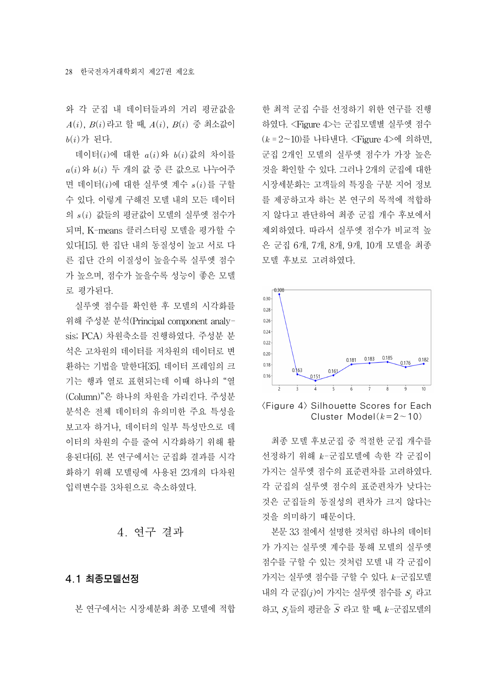와 각 군집 내 데이터들과의 거리 평균값을  $A(i)$ ,  $B(i)$  라고 할 때,  $A(i)$ ,  $B(i)$  중 최소값이  $b(i)$ 가 된다.

데이터 $(i)$ 에 대한  $a(i)$ 와  $b(i)$ 값의 차이를  $a(i)$  와  $b(i)$  두 개의 값 중 큰 값으로 나누어주 면 데이터 $(i)$ 에 대한 실루엣 계수  $s(i)$ 를 구할 수 있다. 이렇게 구해진 모델 내의 모든 데이터 의  $s(i)$  값들의 평균값이 모델의 실루엣 점수가 되며, K-means 클러스터링 모델을 평가할 수 있다[15]. 한 집단 내의 동질성이 높고 서로 다 른 집단 간의 이질성이 높을수록 실루엣 점수 가 높으며, 점수가 높을수록 성능이 좋은 모델 로 평가된다.

실루엣 점수를 확인한 후 모델의 시각화를 위해 주성분 분석(Principal component analysis; PCA) 차원축소를 진행하였다. 주성분 분 석은 고차원의 데이터를 저차원의 데이터로 변 환하는 기법을 말한다[35]. 데이터 프레임의 크 기는 행과 열로 표현되는데 이때 하나의 "열 (Column)"은 하나의 차원을 가리킨다. 주성분 분석은 전체 데이터의 유의미한 주요 특성을 보고자 하거나, 데이터의 일부 특성만으로 데 이터의 차원의 수를 줄여 시각화하기 위해 활 용된다[6]. 본 연구에서는 군집화 결과를 시각 화하기 위해 모델링에 사용된 23개의 다차원 입력변수를 3차원으로 축소하였다.

# 4. 연구 결과

## 4.1 최종모델선정

본 연구에서는 시장세분화 최종 모델에 적합

한 최적 군집 수를 선정하기 위한 연구를 진행 하였다. <Figure 4>는 군집모델별 실루엣 점수  $(k = 2 - 10)$ 를 나타낸다. <Figure 4>에 의하면, 군집 2개인 모델의 실루엣 점수가 가장 높은 것을 확인할 수 있다. 그러나 2개의 군집에 대한 시장세분화는 고객들의 특징을 구분 지어 정보 를 제공하고자 하는 본 연구의 목적에 적합하 지 않다고 판단하여 최종 군집 개수 후보에서 제외하였다. 따라서 실루엣 점수가 비교적 높 은 군집 6개, 7개, 8개, 9개, 10개 모델을 최종 모델 후보로 고려하였다.



<Figure 4> Silhouette Scores for Each Cluster Model( $k=2$ ~10)

최종 모델 후보군집 중 적절한 군집 개수를 선정하기 위해  $k$ -군집모델에 속한 각 군집이 가지는 실루엣 점수의 표준편차를 고려하였다. 각 군집의 실루엣 점수의 표준편차가 낮다는 것은 군집들의 동질성의 편차가 크지 않다는 것을 의미하기 때문이다.

본문 3.3 절에서 설명한 것처럼 하나의 데이터 가 가지는 실루엣 계수를 통해 모델의 실루엣 점수를 구할 수 있는 것처럼 모델 내 각 군집이 가지는 실루엣 점수를 구할 수 있다.  $k$ -군집모델 내의 각 군집 $(j)$ 이 가지는 실루엣 점수를  $S_i$  라고 하고,  $S_j$ 들의 평균을  $\overline{S}$  라고 할 때,  $k$ -군집모델의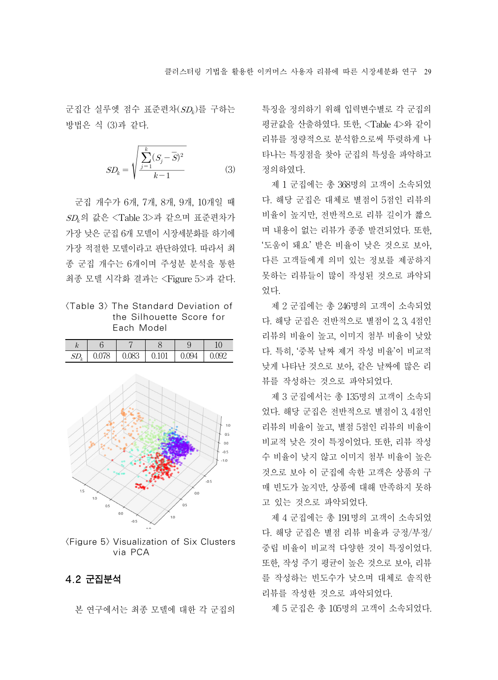군집간 실루엣 점수 표준편차(SD), 를 구하는 방법은 식 (3)과 같다.

은 11-1 8 11로 
$$
\epsilon
$$
  
\n(3)과 갈다.  
\n
$$
SD_k = \sqrt{\frac{\sum_{j=1}^{k} (S_j - \overline{S})^2}{k-1}}
$$
\n(3)

군집 개수가 6개, 7개, 8개, 9개, 10개일 때  $SD<sub>k</sub>$ 의 값은 <Table 3>과 같으며 표준편차가 가장 낮은 군집 6개 모델이 시장세분화를 하기에 가장 적절한 모델이라고 판단하였다. 따라서 최 종 군집 개수는 6개이며 주성분 분석을 통한 최종 모델 시각화 결과는 <Figure 5>과 같다.

| (Table 3) The Standard Deviation of |
|-------------------------------------|
| the Silhouette Score for            |
| Fach Model                          |



<Figure 5> Visualization of Six Clusters via PCA

## 4.2 군집분석

본 연구에서는 최종 모델에 대한 각 군집의

특징을 정의하기 위해 입력변수별로 각 군집의 평균값을 산출하였다. 또한, <Table 4>와 같이 리뷰를 정량적으로 분석함으로써 뚜렷하게 나 타나는 특징점을 찾아 군집의 특성을 파악하고 정의하였다.

제 1 군집에는 총 368명의 고객이 소속되었 다. 해당 군집은 대체로 별점이 5점인 리뷰의 비율이 높지만, 전반적으로 리뷰 길이가 짧으 며 내용이 없는 리뷰가 종종 발견되었다. 또한, '도움이 돼요' 받은 비율이 낮은 것으로 보아, 다른 고객들에게 의미 있는 정보를 제공하지 못하는 리뷰들이 많이 작성된 것으로 파악되 었다.

제 2 군집에는 총 246명의 고객이 소속되었 다. 해당 군집은 전반적으로 별점이 2, 3, 4점인 리뷰의 비율이 높고, 이미지 첨부 비율이 낮았 다. 특히, '중복 날짜 제거 작성 비율'이 비교적 낮게 나타난 것으로 보아, 같은 날짜에 많은 리 뷰를 작성하는 것으로 파악되었다.

제 3 군집에서는 총 135명의 고객이 소속되 었다. 해당 군집은 전반적으로 별점이 3, 4점인 리뷰의 비율이 높고, 별점 5점인 리뷰의 비율이 비교적 낮은 것이 특징이었다. 또한, 리뷰 작성 수 비율이 낮지 않고 이미지 첨부 비율이 높은 것으로 보아 이 군집에 속한 고객은 상품의 구 매 빈도가 높지만, 상품에 대해 만족하지 못하 고 있는 것으로 파악되었다.

제 4 군집에는 총 191명의 고객이 소속되었 다. 해당 군집은 별점 리뷰 비율과 긍정/부정/ 중립 비율이 비교적 다양한 것이 특징이었다. 또한, 작성 주기 평균이 높은 것으로 보아, 리뷰 를 작성하는 빈도수가 낮으며 대체로 솔직한 리뷰를 작성한 것으로 파악되었다.

제 5 군집은 총 105명의 고객이 소속되었다.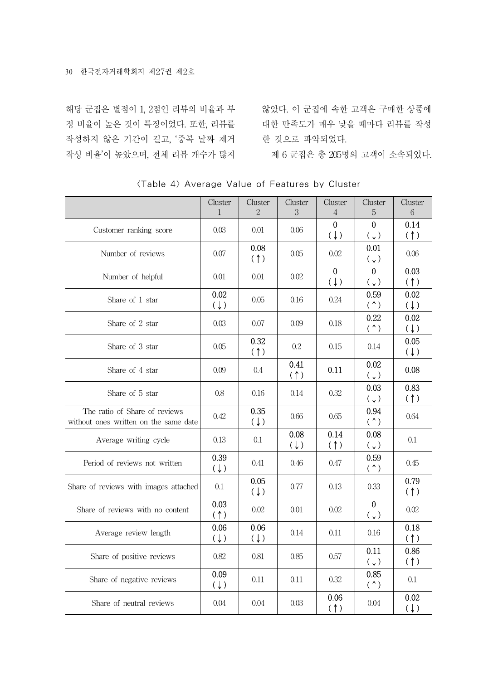해당 군집은 별점이 1, 2점인 리뷰의 비율과 부 작성하지 않은 기간이 길고, '중복 날짜 제거 한 것으로 파악되었다. 작성 비율'이 높았으며, 전체 리뷰 개수가 많지

정 비율이 높은 것이 특징이었다. 또한, 리뷰를 대한 만족도가 매우 낮을 때마다 리뷰를 작성 않았다. 이 군집에 속한 고객은 구매한 상품에

제 6 군집은 총 205명의 고객이 소속되었다.

|                                                                        | Cluster<br>$\mathbf{1}$ | Cluster<br>$\overline{2}$ | Cluster<br>3           | Cluster<br>$\overline{4}$      | Cluster<br>5                   | Cluster<br>6           |
|------------------------------------------------------------------------|-------------------------|---------------------------|------------------------|--------------------------------|--------------------------------|------------------------|
| Customer ranking score                                                 | 0.03                    | 0.01                      | 0.06                   | $\mathbf{0}$<br>$(\downarrow)$ | $\mathbf{0}$<br>$(\downarrow)$ | 0.14<br>(†)            |
| Number of reviews                                                      | 0.07                    | 0.08<br>(1)               | 0.05                   | 0.02                           | 0.01<br>$(\downarrow)$         | 0.06                   |
| Number of helpful                                                      | 0.01                    | 0.01                      | 0.02                   | $\mathbf 0$<br>$(\downarrow)$  | $\mathbf 0$<br>(1)             | 0.03<br>(†)            |
| Share of 1 star                                                        | 0.02<br>$(\downarrow)$  | 0.05                      | 0.16                   | 0.24                           | 0.59<br>(1)                    | 0.02<br>$(\downarrow)$ |
| Share of 2 star                                                        | 0.03                    | 0.07                      | 0.09                   | 0.18                           | 0.22<br>(1)                    | 0.02<br>$(\downarrow)$ |
| Share of 3 star                                                        | 0.05                    | 0.32<br>(1)               | 0.2                    | 0.15                           | 0.14                           | 0.05<br>$(\downarrow)$ |
| Share of 4 star                                                        | 0.09                    | 0.4                       | 0.41<br>(              | 0.11                           | 0.02<br>(1)                    | 0.08                   |
| Share of 5 star                                                        | 0.8                     | 0.16                      | 0.14                   | 0.32                           | 0.03<br>(1)                    | 0.83<br>(†)            |
| The ratio of Share of reviews<br>without ones written on the same date | 0.42                    | 0.35<br>(1)               | 0.66                   | 0.65                           | 0.94<br>(1)                    | 0.64                   |
| Average writing cycle                                                  | 0.13                    | 0.1                       | 0.08<br>$(\downarrow)$ | 0.14<br>(†)                    | 0.08<br>(1)                    | 0.1                    |
| Period of reviews not written                                          | 0.39<br>$(\downarrow)$  | 0.41                      | 0.46                   | 0.47                           | 0.59<br>(†)                    | 0.45                   |
| Share of reviews with images attached                                  | 0.1                     | 0.05<br>(1)               | 0.77                   | 0.13                           | 0.33                           | 0.79<br>(†)            |
| Share of reviews with no content                                       | 0.03<br>(1)             | 0.02                      | 0.01                   | 0.02                           | $\Omega$<br>(1)                | 0.02                   |
| Average review length                                                  | 0.06<br>$(\downarrow)$  | 0.06<br>$(\downarrow)$    | 0.14                   | 0.11                           | 0.16                           | 0.18<br>(1)            |
| Share of positive reviews                                              | 0.82                    | 0.81                      | 0.85                   | 0.57                           | 0.11<br>(1)                    | 0.86<br>(1)            |
| Share of negative reviews                                              | 0.09<br>$(\downarrow)$  | 0.11                      | 0.11                   | 0.32                           | 0.85<br>(1)                    | 0.1                    |
| Share of neutral reviews                                               | 0.04                    | 0.04                      | 0.03                   | 0.06<br>(†)                    | 0.04                           | 0.02<br>$(\downarrow)$ |

<Table 4> Average Value of Features by Cluster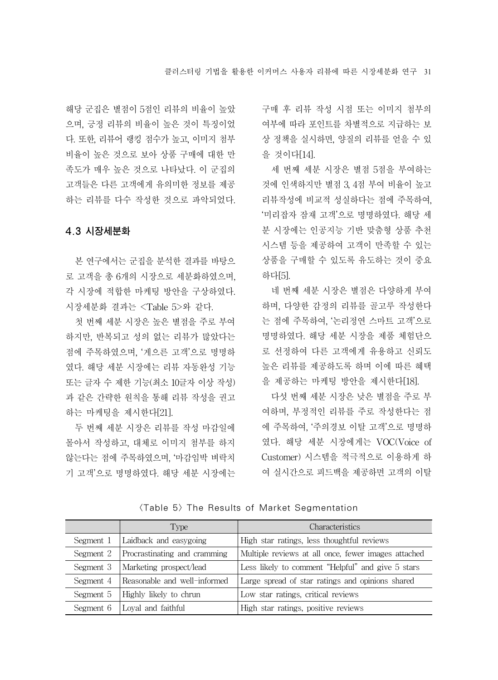해당 군집은 별점이 5점인 리뷰의 비율이 높았 으며, 긍정 리뷰의 비율이 높은 것이 특징이었 다. 또한, 리뷰어 랭킹 점수가 높고, 이미지 첨부 비율이 높은 것으로 보아 상품 구매에 대한 만 족도가 매우 높은 것으로 나타났다. 이 군집의 고객들은 다른 고객에게 유의미한 정보를 제공 하는 리뷰를 다수 작성한 것으로 파악되었다.

## 4.3 시장세분화

본 연구에서는 군집을 분석한 결과를 바탕으 로 고객을 총 6개의 시장으로 세분화하였으며, 각 시장에 적합한 마케팅 방안을 구상하였다. 시장세분화 결과는 <Table 5>와 같다.

첫 번째 세분 시장은 높은 별점을 주로 부여 하지만, 반복되고 성의 없는 리뷰가 많았다는 점에 주목하였으며, '게으른 고객'으로 명명하 였다. 해당 세분 시장에는 리뷰 자동완성 기능 또는 글자 수 제한 기능(최소 10글자 이상 작성) 과 같은 간략한 원칙을 통해 리뷰 작성을 권고 하는 마케팅을 제시한다[21].

두 번째 세분 시장은 리뷰를 작성 마감일에 몰아서 작성하고, 대체로 이미지 첨부를 하지 않는다는 점에 주목하였으며, '마감임박 벼락치 기 고객'으로 명명하였다. 해당 세분 시장에는 구매 후 리뷰 작성 시점 또는 이미지 첨부의 여부에 따라 포인트를 차별적으로 지급하는 보 상 정책을 실시하면, 양질의 리뷰를 얻을 수 있 을 것이다[14].

세 번째 세분 시장은 별점 5점을 부여하는 것에 인색하지만 별점 3, 4점 부여 비율이 높고 리뷰작성에 비교적 성실하다는 점에 주목하여, '미리잡자 잠재 고객'으로 명명하였다. 해당 세 분 시장에는 인공지능 기반 맞춤형 상품 추천 시스템 등을 제공하여 고객이 만족할 수 있는 상품을 구매할 수 있도록 유도하는 것이 중요 하다[5].

네 번째 세분 시장은 별점은 다양하게 부여 하며, 다양한 감정의 리뷰를 골고루 작성한다 는 점에 주목하여, '논리정연 스마트 고객'으로 명명하였다. 해당 세분 시장을 제품 체험단으 로 선정하여 다른 고객에게 유용하고 신뢰도 높은 리뷰를 제공하도록 하며 이에 따른 혜택 을 제공하는 마케팅 방안을 제시한다[18].

다섯 번째 세분 시장은 낮은 별점을 주로 부 여하며, 부정적인 리뷰를 주로 작성한다는 점 에 주목하여, '주의경보 이탈 고객'으로 명명하 였다. 해당 세분 시장에게는 VOC(Voice of Customer) 시스템을 적극적으로 이용하게 하 여 실시간으로 피드백을 제공하면 고객의 이탈

|           | Type                         | <b>Characteristics</b>                              |
|-----------|------------------------------|-----------------------------------------------------|
| Segment 1 | Laidback and easygoing       | High star ratings, less thoughtful reviews          |
| Segment 2 | Procrastinating and cramming | Multiple reviews at all once, fewer images attached |
| Segment 3 | Marketing prospect/lead      | Less likely to comment "Helpful" and give 5 stars   |
| Segment 4 | Reasonable and well-informed | Large spread of star ratings and opinions shared    |
| Segment 5 | Highly likely to chrun       | Low star ratings, critical reviews                  |
| Segment 6 | Loval and faithful           | High star ratings, positive reviews                 |

<Table 5> The Results of Market Segmentation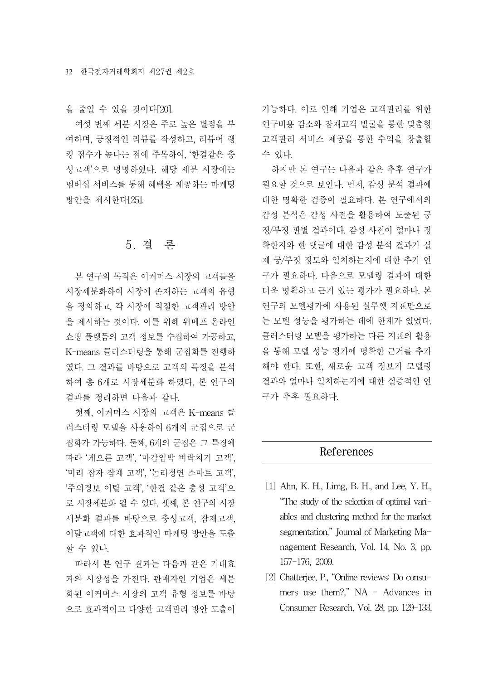을 줄일 수 있을 것이다[20].

여섯 번째 세분 시장은 주로 높은 별점을 부 여하며, 긍정적인 리뷰를 작성하고, 리뷰어 랭 킹 점수가 높다는 점에 주목하여, '한결같은 충 성고객'으로 명명하였다. 해당 세분 시장에는 멤버십 서비스를 통해 혜택을 제공하는 마케팅 방안을 제시한다[25].

# 5. 결 론

본 연구의 목적은 이커머스 시장의 고객들을 시장세분화하여 시장에 존재하는 고객의 유형 을 정의하고, 각 시장에 적절한 고객관리 방안 을 제시하는 것이다. 이를 위해 위메프 온라인 쇼핑 플랫폼의 고객 정보를 수집하여 가공하고, K-means 클러스터링을 통해 군집화를 진행하 였다. 그 결과를 바탕으로 고객의 특징을 분석 하여 총 6개로 시장세분화 하였다. 본 연구의 결과를 정리하면 다음과 같다.

첫째, 이커머스 시장의 고객은 K-means 클 러스터링 모델을 사용하여 6개의 군집으로 군 집화가 가능하다. 둘째, 6개의 군집은 그 특징에 따라 '게으른 고객', '마감임박 벼락치기 고객', '미리 잡자 잠재 고객', '논리정연 스마트 고객', '주의경보 이탈 고객', '한결 같은 충성 고객'으 로 시장세분화 될 수 있다. 셋째, 본 연구의 시장 세분화 결과를 바탕으로 충성고객, 잠재고객, 이탈고객에 대한 효과적인 마케팅 방안을 도출 할 수 있다.

따라서 본 연구 결과는 다음과 같은 기대효 과와 시장성을 가진다. 판매자인 기업은 세분 화된 이커머스 시장의 고객 유형 정보를 바탕 으로 효과적이고 다양한 고객관리 방안 도출이

가능하다. 이로 인해 기업은 고객관리를 위한 연구비용 감소와 잠재고객 발굴을 통한 맞춤형 고객관리 서비스 제공을 통한 수익을 창출할 수 있다.

하지만 본 연구는 다음과 같은 추후 연구가 필요할 것으로 보인다. 먼저, 감성 분석 결과에 대한 명확한 검증이 필요하다. 본 연구에서의 감성 분석은 감성 사전을 활용하여 도출된 긍 정/부정 판별 결과이다. 감성 사전이 얼마나 정 확한지와 한 댓글에 대한 감성 분석 결과가 실 제 긍/부정 정도와 일치하는지에 대한 추가 연 구가 필요하다. 다음으로 모델링 결과에 대한 더욱 명확하고 근거 있는 평가가 필요하다. 본 연구의 모델평가에 사용된 실루엣 지표만으로 는 모델 성능을 평가하는 데에 한계가 있었다. 클러스터링 모델을 평가하는 다른 지표의 활용 을 통해 모델 성능 평가에 명확한 근거를 추가 해야 한다. 또한, 새로운 고객 정보가 모델링 결과와 얼마나 일치하는지에 대한 실증적인 연 구가 추후 필요하다.

## References

- [1] Ahn, K. H., Limg, B. H., and Lee, Y. H., "The study of the selection of optimal variables and clustering method for the market segmentation," Journal of Marketing Management Research, Vol. 14, No. 3, pp. 157-176, 2009.
- [2] Chatterjee, P., "Online reviews: Do consumers use them?," NA - Advances in Consumer Research, Vol. 28, pp. 129-133,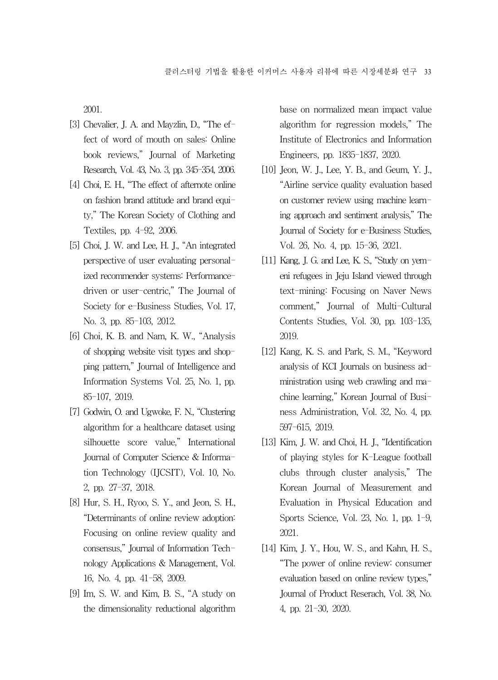2001.

- [3] Chevalier, J. A. and Mavzlin, D., "The effect of word of mouth on sales: Online book reviews," Journal of Marketing Research, Vol. 43, No. 3, pp. 345-354, 2006.
- [4] Choi, E. H., "The effect of afternote online on fashion brand attitude and brand equity," The Korean Society of Clothing and Textiles, pp. 4-92, 2006.
- [5] Choi, J. W. and Lee, H. J., "An integrated perspective of user evaluating personalized recommender systems: Performancedriven or user-centric," The Journal of Society for e-Business Studies, Vol. 17, No. 3, pp. 85-103, 2012.
- [6] Choi, K. B. and Nam, K. W., "Analysis of shopping website visit types and shopping pattern," Journal of Intelligence and Information Systems Vol. 25, No. 1, pp. 85-107, 2019.
- [7] Godwin, O. and Ugwoke, F. N., "Clustering algorithm for a healthcare dataset using silhouette score value," International Journal of Computer Science & Information Technology (IJCSIT), Vol. 10, No. 2, pp. 27-37, 2018.
- [8] Hur, S. H., Ryoo, S. Y., and Jeon, S. H., "Determinants of online review adoption: Focusing on online review quality and consensus," Journal of Information Technology Applications & Management, Vol. 16, No. 4, pp. 41-58, 2009.
- [9] Im, S. W. and Kim, B. S., "A study on the dimensionality reductional algorithm

base on normalized mean impact value algorithm for regression models," The Institute of Electronics and Information Engineers, pp. 1835-1837, 2020.

- [10] Jeon, W. J., Lee, Y. B., and Geum, Y. J., "Airline service quality evaluation based on customer review using machine learning approach and sentiment analysis," The Journal of Society for e-Business Studies, Vol. 26, No. 4, pp. 15-36, 2021.
- [11] Kang, J. G. and Lee, K. S., "Study on yemeni refugees in Jeju Island viewed through text-mining: Focusing on Naver News comment," Journal of Multi-Cultural Contents Studies, Vol. 30, pp. 103-135, 2019.
- [12] Kang, K. S. and Park, S. M., "Keyword analysis of KCI Journals on business administration using web crawling and machine learning," Korean Journal of Business Administration, Vol. 32, No. 4, pp. 597-615, 2019.
- [13] Kim, J. W. and Choi, H. J., "Identification of playing styles for K-League football clubs through cluster analysis," The Korean Journal of Measurement and Evaluation in Physical Education and Sports Science, Vol. 23, No. 1, pp. 1-9, 2021.
- [14] Kim, J. Y., Hou, W. S., and Kahn, H. S., "The power of online review: consumer evaluation based on online review types," Journal of Product Reserach, Vol. 38, No. 4, pp. 21-30, 2020.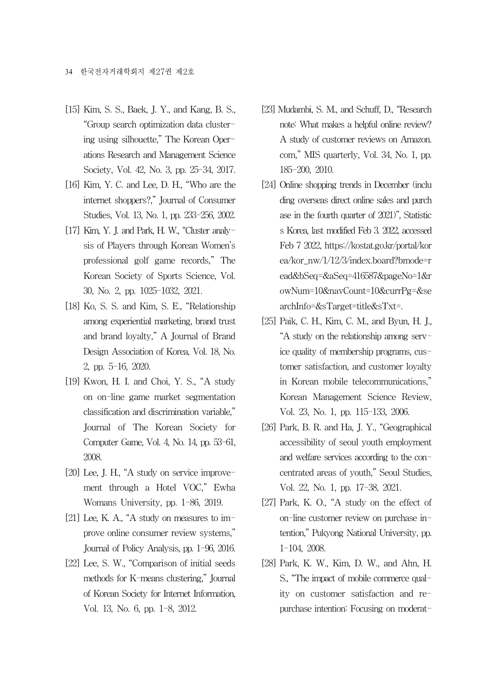- [15] Kim, S. S., Baek, J. Y., and Kang, B. S., "Group search optimization data clustering using silhouette," The Korean Operations Research and Management Science Society, Vol. 42, No. 3, pp. 25-34, 2017.
- [16] Kim, Y. C. and Lee, D. H., "Who are the internet shoppers?," Journal of Consumer Studies, Vol. 13, No. 1, pp. 233-256, 2002.
- [17] Kim, Y. J. and Park, H. W., "Cluster analysis of Players through Korean Women's professional golf game records," The Korean Society of Sports Science, Vol. 30, No. 2, pp. 1025-1032, 2021.
- [18] Ko, S. S. and Kim, S. E., "Relationship among experiential marketing, brand trust and brand loyalty," A Journal of Brand Design Association of Korea, Vol. 18, No. 2, pp. 5-16, 2020.
- [19] Kwon, H. I. and Choi, Y. S., "A study on on-line game market segmentation classification and discrimination variable," Journal of The Korean Society for Computer Game, Vol. 4, No. 14, pp. 53-61, 2008.
- [20] Lee, J. H., "A study on service improvement through a Hotel VOC," Ewha Womans University, pp. 1-86, 2019.
- [21] Lee, K. A., "A study on measures to improve online consumer review systems," Journal of Policy Analysis, pp. 1-96, 2016.
- [22] Lee, S. W., "Comparison of initial seeds methods for K-means clustering," Journal of Korean Society for Internet Information, Vol. 13, No. 6, pp. 1-8, 2012.
- [23] Mudambi, S. M., and Schuff, D., "Research note: What makes a helpful online review? A study of customer reviews on Amazon. com," MIS quarterly, Vol. 34, No. 1, pp. 185-200, 2010.
- [24] Online shopping trends in December (inclu ding overseas direct online sales and purch ase in the fourth quarter of 2021)", Statistic s Korea, last modified Feb 3. 2022, accessed Feb 7 2022, https://kostat.go.kr/portal/kor ea/kor\_nw/1/12/3/index.board?bmode=r ead&bSeq=&aSeq=416587&pageNo=1&r owNum=10&navCount=10&currPg=&se archInfo=&sTarget=title&sTxt=.
- [25] Paik, C. H., Kim, C. M., and Byun, H. J., "A study on the relationship among service quality of membership programs, customer satisfaction, and customer loyalty in Korean mobile telecommunications," Korean Management Science Review, Vol. 23, No. 1, pp. 115-133, 2006.
- [26] Park, B. R. and Ha, J. Y., "Geographical accessibility of seoul youth employment and welfare services according to the concentrated areas of youth," Seoul Studies, Vol. 22, No. 1, pp. 17-38, 2021.
- [27] Park, K. O., "A study on the effect of on-line customer review on purchase intention," Pukyong National University, pp. 1-104, 2008.
- [28] Park, K. W., Kim, D. W., and Ahn, H. S., "The impact of mobile commerce quality on customer satisfaction and repurchase intention: Focusing on moderat-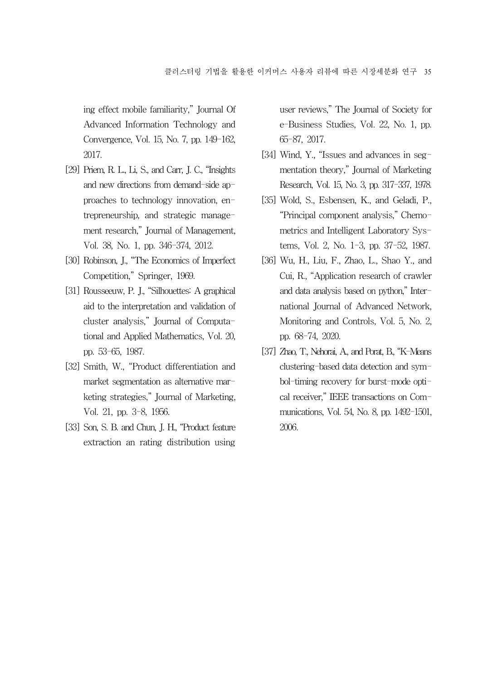ing effect mobile familiarity," Journal Of Advanced Information Technology and Convergence, Vol. 15, No. 7, pp. 149-162, 2017.

- [29] Priem, R. L., Li, S., and Carr, J. C., "Insights and new directions from demand-side approaches to technology innovation, entrepreneurship, and strategic management research," Journal of Management, Vol. 38, No. 1, pp. 346-374, 2012.
- [30] Robinson, J., "The Economics of Imperfect Competition," Springer, 1969.
- [31] Rousseeuw, P. J., "Silhouettes: A graphical aid to the interpretation and validation of cluster analysis," Journal of Computational and Applied Mathematics, Vol. 20, pp. 53-65, 1987.
- [32] Smith, W., "Product differentiation and market segmentation as alternative marketing strategies," Journal of Marketing, Vol. 21, pp. 3-8, 1956.
- [33] Son, S. B. and Chun, J. H., "Product feature extraction an rating distribution using

user reviews," The Journal of Society for e-Business Studies, Vol. 22, No. 1, pp. 65-87, 2017.

- [34] Wind, Y., "Issues and advances in segmentation theory," Journal of Marketing Research, Vol. 15, No. 3, pp. 317-337, 1978.
- [35] Wold, S., Esbensen, K., and Geladi, P., "Principal component analysis," Chemometrics and Intelligent Laboratory Systems, Vol. 2, No. 1-3, pp. 37-52, 1987.
- [36] Wu, H., Liu, F., Zhao, L., Shao Y., and Cui, R., "Application research of crawler and data analysis based on python," International Journal of Advanced Network, Monitoring and Controls, Vol. 5, No. 2, pp. 68-74, 2020.
- [37] Zhao, T., Nehorai, A., and Porat, B., "K-Means clustering-based data detection and symbol-timing recovery for burst-mode optical receiver," IEEE transactions on Communications, Vol. 54, No. 8, pp. 1492-1501, 2006.